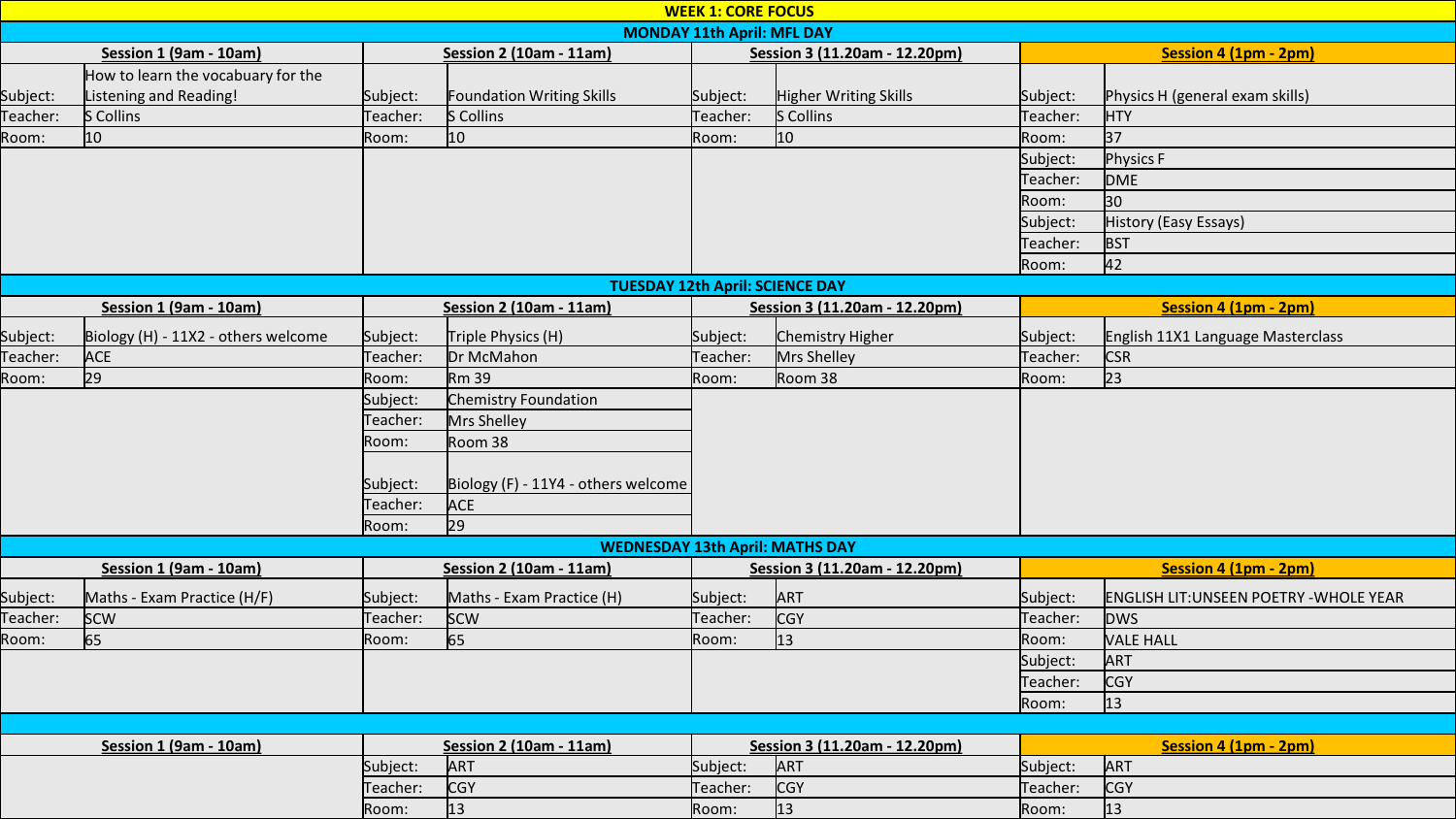| <b>WEEK 1: CORE FOCUS</b>              |                                     |                                |                                        |                               |                               |                       |                                                |  |  |  |  |  |  |
|----------------------------------------|-------------------------------------|--------------------------------|----------------------------------------|-------------------------------|-------------------------------|-----------------------|------------------------------------------------|--|--|--|--|--|--|
| <b>MONDAY 11th April: MFL DAY</b>      |                                     |                                |                                        |                               |                               |                       |                                                |  |  |  |  |  |  |
| Session 1 (9am - 10am)                 |                                     | <b>Session 2 (10am - 11am)</b> |                                        | Session 3 (11.20am - 12.20pm) |                               | Session 4 (1pm - 2pm) |                                                |  |  |  |  |  |  |
|                                        | How to learn the vocabuary for the  |                                |                                        |                               |                               |                       |                                                |  |  |  |  |  |  |
| Subject:                               | Listening and Reading!              | Subject:                       | Foundation Writing Skills              | Subject:                      | Higher Writing Skills         | Subject:              | Physics H (general exam skills)                |  |  |  |  |  |  |
| Teacher:                               | S Collins                           | Teacher:                       | S Collins                              | Teacher:                      | S Collins                     | Teacher:              | <b>HTY</b>                                     |  |  |  |  |  |  |
| Room:                                  | 10                                  | Room:                          | 10                                     | Room:                         | 10 <sub>10</sub>              | Room:                 | 37                                             |  |  |  |  |  |  |
|                                        |                                     |                                |                                        |                               |                               | Subject:              | <b>Physics F</b>                               |  |  |  |  |  |  |
|                                        |                                     |                                |                                        |                               |                               | Teacher:              | <b>DME</b>                                     |  |  |  |  |  |  |
|                                        |                                     |                                |                                        |                               |                               | Room:                 | 30                                             |  |  |  |  |  |  |
|                                        |                                     |                                |                                        |                               |                               | Subject:              | History (Easy Essays)                          |  |  |  |  |  |  |
|                                        |                                     |                                |                                        |                               |                               | Teacher:              | <b>BST</b>                                     |  |  |  |  |  |  |
|                                        |                                     |                                |                                        |                               |                               | Room:                 | 42                                             |  |  |  |  |  |  |
| <b>TUESDAY 12th April: SCIENCE DAY</b> |                                     |                                |                                        |                               |                               |                       |                                                |  |  |  |  |  |  |
|                                        | Session 1 (9am - 10am)              |                                | <b>Session 2 (10am - 11am)</b>         |                               | Session 3 (11.20am - 12.20pm) |                       | Session 4 (1pm - 2pm)                          |  |  |  |  |  |  |
| Subject:                               | Biology (H) - 11X2 - others welcome | Subject:                       | Triple Physics (H)                     | Subject:                      | Chemistry Higher              | Subject:              | English 11X1 Language Masterclass              |  |  |  |  |  |  |
| Teacher:                               | <b>ACE</b>                          | Teacher:                       | Dr McMahon                             | Teacher:                      | Mrs Shelley                   | Teacher:              | <b>CSR</b>                                     |  |  |  |  |  |  |
| Room:                                  | 29                                  | Room:                          | Rm 39                                  | Room:                         | Room 38                       | Room:                 | 23                                             |  |  |  |  |  |  |
|                                        |                                     | Subject:                       | Chemistry Foundation                   |                               |                               |                       |                                                |  |  |  |  |  |  |
|                                        |                                     | Teacher:                       | Mrs Shelley                            |                               |                               |                       |                                                |  |  |  |  |  |  |
|                                        |                                     | Room:                          | Room 38                                |                               |                               |                       |                                                |  |  |  |  |  |  |
|                                        |                                     |                                |                                        |                               |                               |                       |                                                |  |  |  |  |  |  |
|                                        |                                     | Subject:                       | Biology (F) - 11Y4 - others welcome    |                               |                               |                       |                                                |  |  |  |  |  |  |
|                                        |                                     | Teacher:                       | <b>ACE</b>                             |                               |                               |                       |                                                |  |  |  |  |  |  |
|                                        |                                     | Room:                          | 29                                     |                               |                               |                       |                                                |  |  |  |  |  |  |
|                                        |                                     |                                | <b>WEDNESDAY 13th April: MATHS DAY</b> |                               |                               |                       |                                                |  |  |  |  |  |  |
|                                        | Session 1 (9am - 10am)              |                                | Session 2 (10am - 11am)                |                               | Session 3 (11.20am - 12.20pm) |                       | Session 4 (1pm - 2pm)                          |  |  |  |  |  |  |
| Subject:                               | Maths - Exam Practice (H/F)         | Subject:                       | Maths - Exam Practice (H)              | Subject:                      | ART                           | Subject:              | <b>ENGLISH LIT: UNSEEN POETRY - WHOLE YEAR</b> |  |  |  |  |  |  |
| Teacher:                               | <b>SCW</b>                          | Teacher:                       | <b>SCW</b>                             | Teacher:                      | <b>CGY</b>                    | Teacher:              | <b>DWS</b>                                     |  |  |  |  |  |  |
| Room:                                  | 65                                  | Room:                          | 65                                     | Room:                         | 13                            | Room:                 | <b>VALE HALL</b>                               |  |  |  |  |  |  |
|                                        |                                     |                                |                                        |                               |                               | Subject:              | ART                                            |  |  |  |  |  |  |
|                                        |                                     |                                |                                        |                               |                               | Teacher:              | <b>CGY</b>                                     |  |  |  |  |  |  |
|                                        |                                     |                                |                                        |                               |                               | Room:                 | 13                                             |  |  |  |  |  |  |
|                                        |                                     |                                |                                        |                               |                               |                       |                                                |  |  |  |  |  |  |
|                                        | Session 1 (9am - 10am)              |                                | <b>Session 2 (10am - 11am)</b>         |                               | Session 3 (11.20am - 12.20pm) |                       | Session 4 (1pm - 2pm)                          |  |  |  |  |  |  |
|                                        |                                     | Subject:                       | ART                                    | Subject:                      | ART                           | Subject:              | ART                                            |  |  |  |  |  |  |
|                                        |                                     | Teacher:                       | <b>CGY</b>                             | Teacher:                      | <b>CGY</b>                    | Teacher:              | <b>CGY</b>                                     |  |  |  |  |  |  |
|                                        |                                     | Room:                          | $\vert$ 13                             | Room:                         | $ 13\rangle$                  | Room:                 | $ 13\rangle$                                   |  |  |  |  |  |  |